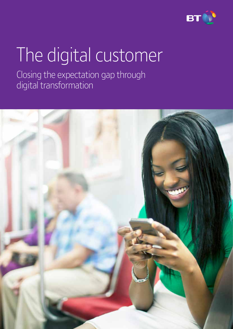

# The digital customer

Closing the expectation gap through digital transformation

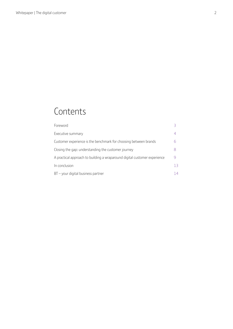### **Contents**

| Foreword                                                                  |    |
|---------------------------------------------------------------------------|----|
| Executive summary                                                         |    |
| Customer experience is the benchmark for choosing between brands          |    |
| Closing the gap: understanding the customer journey                       |    |
| A practical approach to building a wraparound digital customer experience |    |
| In conclusion                                                             | 13 |
| $BT$ - your digital business partner                                      | 14 |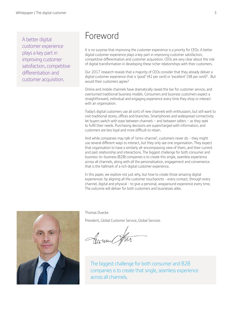A better digital customer experience plays a key part in improving customer satisfaction, competitive differentiation and customer acquisition.

### Foreword

It is no surprise that improving the customer experience is a priority for CEOs. A better digital customer experience plays a key part in improving customer satisfaction, competitive differentiation and customer acquisition. CEOs are very clear about the role of digital transformation in developing these richer relationships with their customers.

Our 2017 research reveals that a majority of CEOs consider that they already deliver a digital customer experience that is 'good' (42 per cent) or 'excellent' (38 per cent)<sup>1</sup>. But would their customers agree?

Online and mobile channels have dramatically raised the bar for customer service, and overturned traditional business models. Consumers and business customers expect a straightforward, individual and engaging experience every time they shop or interact with an organisation.

Today's digital customers use all sorts of new channels with enthusiasm, but still want to visit traditional stores, offices and branches. Smartphones and widespread connectivity let buyers switch with ease between channels − and between sellers − as they seek to fulfil their needs. Purchasing decisions are supercharged with information, and customers are less loyal and more difficult to retain.

And while companies may talk of 'omni-channel', customers never do - they might use several different ways to interact, but they only see one organisation. They expect that organisation to have a similarly all-encompassing view of them, and their current and past relationship and interactions. The biggest challenge for both consumer and business-to-business (B2B) companies is to create this single, seamless experience across all channels, along with all the personalisation, engagement and convenience that is the hallmark of a rich digital customer experience.

In this paper, we explore not just why, but how to create those amazing digital experiences: by aligning all the customer touchpoints - every contact, through every channel, digital and physical - to give a personal, wraparound experience every time. The outcome will deliver for both customers and businesses alike.



Thomas Duecke

President, Global Customer Service, Global Services

Comme of the

The biggest challenge for both consumer and B2B companies is to create that single, seamless experience across all channels.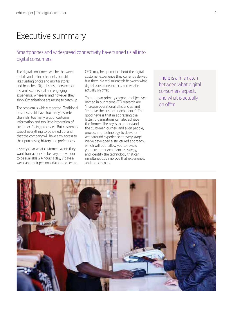### Executive summary

#### Smartphones and widespread connectivity have turned us all into digital consumers.

The digital consumer switches between mobile and online channels, but still likes visiting bricks and mortar stores and branches. Digital consumers expect a seamless, personal and engaging experience, wherever and however they shop. Organisations are racing to catch up.

The problem is widely reported. Traditional businesses still have too many discrete channels, too many silos of customer information and too little integration of customer-facing processes. But customers expect everything to be joined up, and that the company will have easy access to their purchasing history and preferences.

It's very clear what customers want: they want transactions to be easy, the vendor to be available 24 hours a day, 7 days a week and their personal data to be secure.

CEOs may be optimistic about the digital customer experience they currently deliver, but there is a real mismatch between what digital consumers expect, and what is actually on offer.

The top two primary corporate objectives named in our recent CEO research are 'increase operational efficiencies' and 'improve the customer experience'. The good news is that in addressing the latter, organisations can also achieve the former. The key is to understand the customer journey, and align people, process and technology to deliver a wraparound experience at every stage. We've developed a structured approach, which will both allow you to review your customer experience strategy, and identify the technology that can simultaneously improve that experience, and reduce costs.

There is a mismatch between what digital consumers expect, and what is actually on offer.

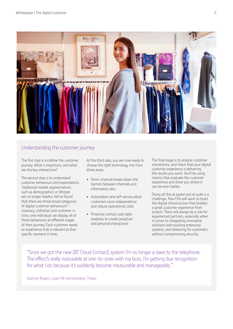

#### Understanding the customer journey

The first step is to define the customer journey. What is important, and what are the key interactions?

The second step is to understand customer behaviours and expectations. Traditional market segmentations such as demographics or lifestyle are no longer helpful. We've found that there are three broad categories of digital customer behaviours<sup>2</sup> visionary, utilitarian and customer in crisis; one individual can display all of these behaviours at different stages of their journey. Each customer needs an experience that is relevant at that specific moment in time.

At the third step, you are now ready to choose the right technology mix from three areas:

- Omni-channel breaks down the barriers between channels and information silos
- Automation and self-service allow customers more independence and reduce operational costs
- Proactive contact uses data analytics to create proactive and personal interactions

The final stage is to analyse customer interactions, and check that your digital customer experience is delivering the results you want. You'll be using metrics that evaluate the customer experience and show you where it can be even better.

Doing all this at speed and at scale is a challenge. Few CIOs will want to build the digital infrastructure that enables a great customer experience from scratch. There will always be a role for experienced partners, especially when it comes to integrating innovative solutions with existing enterprise systems, and delivering for customers without compromising security.

"Since we got the new [BT Cloud Contact] system I'm no longer a slave to the telephone. The effect's really noticeable at one-to-ones with my boss. I'm getting due recognition for what I do because it's suddenly become measurable and manageable."

Kathryn Rogers, Lead HR Administrator, Thales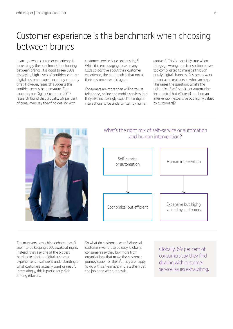### Customer experience is the benchmark when choosing between brands

In an age when customer experience is increasingly the benchmark for choosing between brands, it is good to see CEOs displaying high levels of confidence in the digital customer experience they currently offer. However, research suggests this confidence may be premature. For example, our Digital Customer 2017 research found that globally, 69 per cent of consumers say they find dealing with

customer service issues exhausting3. While it is encouraging to see many CEOs so positive about their customer experience, the hard truth is that not all their customers would agree.

Consumers are more than willing to use telephone, online and mobile services, but they also increasingly expect their digital interactions to be underwritten by human

contact<sup>4</sup>. This is especially true when things go wrong, or a transaction proves too complicated to manage through purely digital channels. Customers want to contact a real person who can help. This raises the question: what's the right mix of self-service or automation (economical but efficient) and human intervention (expensive but highly valued by customers)?



#### What's the right mix of self-service or automation and human intervention?



The man versus machine debate doesn't seem to be keeping CEOs awake at night. Instead, they say one of the biggest barriers to a better digital customer experience is insufficient understanding of what customers actually want or need<sup>1</sup>. Interestingly, this is particularly high among retailers.

So what do customers want? Above all, customers want it to be easy. Globally, consumers say they buy more from organisations that make the customer journey easier for them<sup>5</sup>. They are happy to go with self-service, if it lets them get the job done without hassle.

Globally, 69 per cent of consumers say they find dealing with customer service issues exhausting.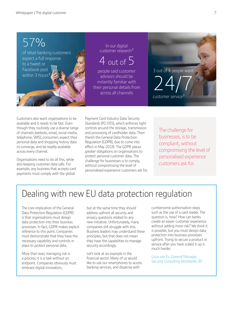### 57% of retail banking customers expect a full response

to a tweet or Facebook post

In our digital customer research3

# 4 out of  $5$

people said customer advisors should be instantly familiar with their personal details from across all channels

Facebook post<br>within 3 hours<sup>4</sup> 2 advisors should be a contracted by the same should be a contracted by the set of the same of the same of the same of the same of the same of the same of the same of the same of the same of 24/7 customer service

Customers also want organisations to be available and it needs to be fast. Even though they routinely use a diverse range of channels (website, email, social media, telephone, SMS), consumers expect their personal data and shopping history data to converge, and be readily available across every channel.

Organisations need to do all this, while also keeping customer data safe. For example, any business that accepts card payments must comply with the global

Payment Card Industry Data Security Standards (PCI DSS), which enforces tight controls around the storage, transmission and processing of cardholder data. Then there's the General Data Protection Regulation (GDPR), due to come into effect in May 2018. The GDPR places greater obligations on organisations to protect personal customer data. The challenge for businesses is to comply, without compromising the level of personalised experience customers ask for.

The challenge for businesses, is to be compliant, without compromising the level of personalised experience customers ask for.

# Dealing with new EU data protection regulation

The core implication of the General Data Protection Regulation (GDPR) is that organisations must design data protection into their business processes. In fact, GDPR makes explicit reference to this point. Companies must demonstrate that they have the necessary capability and controls in place to protect personal data.

More than ever, managing risk is a process; it is a task without an endpoint. Companies obviously must embrace digital innovation,

but at the same time they should address upfront all security and privacy questions related to any new initiative. Unfortunately, many companies still struggle with this. Business leaders may understand these principles, but that does not mean they have the capabilities to manage security accordingly.

Let's look at an example in the financial sector. Many of us would like to use our smartphones to access banking services, and dispense with

cumbersome authorisation steps such as the use of a card reader. The question is, how? How can banks create an easier customer experience without adding more risk? We think it is possible, but you must design data protection into business processes upfront. Trying to secure a product or service after you have scaled it up is much harder.

Guus van Es, General Manager, Security Consulting Worldwide, BT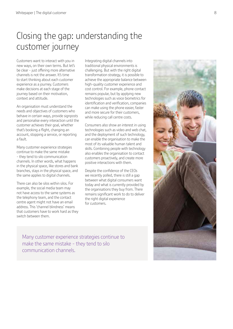### Closing the gap: understanding the customer journey

Customers want to interact with you in new ways, on their own terms. But let's be clear - just offering more alternative channels is not the answer. It's time to start thinking about each customer experience as a journey. Customers make decisions at each stage of the journey based on their motivation, context and attitude.

An organisation must understand the needs and objectives of customers who behave in certain ways, provide signposts and personalise every interaction until the customer achieves their goal, whether that's booking a flight, changing an account, stopping a service, or reporting a fault.

Many customer experience strategies continue to make the same mistake - they tend to silo communication channels. In other words, what happens in the physical space, like stores and bank branches, stays in the physical space, and the same applies to digital channels.

There can also be silos within silos. For example, the social media team may not have access to the same systems as the telephony team, and the contact centre agent might not have an email address. This 'channel blindness' means that customers have to work hard as they switch between them.

Integrating digital channels into traditional physical environments is challenging. But with the right digital transformation strategy, it is possible to achieve the appropriate balance between high-quality customer experience and cost control. For example, phone contact remains popular, but by applying new technologies such as voice biometrics for identification and verification, companies can make using the phone easier, faster and more secure for their customers, while reducing call centre costs.

Consumers also show an interest in using technologies such as video and web chat, and the deployment of such technology, can enable the organisation to make the most of its valuable human talent and skills. Combining people with technology also enables the organisation to contact customers proactively, and create more positive interactions with them.

Despite the confidence of the CEOs we recently polled, there is still a gap between what digital consumers want today and what is currently provided by the organisations they buy from. There remains significant work to do to deliver the right digital experience for customers.

Many customer experience strategies continue to make the same mistake - they tend to silo communication channels.

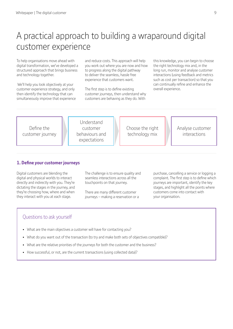### A practical approach to building a wraparound digital customer experience

To help organisations move ahead with digital transformation, we've developed a structured approach that brings business and technology together.

 We'll help you look objectively at your customer experience strategy, and only then identify the technology that can simultaneously improve that experience

and reduce costs. This approach will help you work out where you are now and how to progress along the digital pathway to deliver the seamless, hassle free experience that customers want.

The first step is to define existing customer journeys, then understand why customers are behaving as they do. With

this knowledge, you can begin to choose the right technology mix and, in the long run, monitor and analyse customer interactions (using feedback and metrics such as cost per transaction) so that you can continually refine and enhance the overall experience.



#### **1. Define your customer journeys**

Digital customers are blending the digital and physical worlds to interact directly and indirectly with you. They're dictating the stages in the journey, and they're choosing how, where and when they interact with you at each stage.

The challenge is to ensure quality and seamless interactions across all the touchpoints on that journey.

There are many different customer journeys – making a reservation or a purchase, cancelling a service or logging a complaint. The first step is to define which journeys are important, identify the key stages, and highlight all the points where customers come into contact with your organisation.

- What are the main objectives a customer will have for contacting you?
- What do you want out of the transaction (to try and make both sets of objectives compatible)?
- What are the relative priorities of the journeys for both the customer and the business?
- How successful, or not, are the current transactions (using collected data)?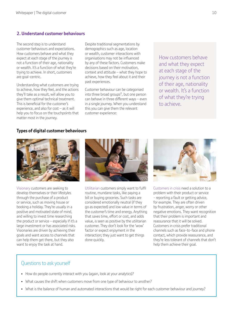#### **2. Understand customer behaviours**

The second step is to understand customer behaviours and expectations. How customers behave and what they expect at each stage of the journey is not a function of their age, nationality or wealth. It's a function of what they're trying to achieve. In short, customers are goal-centric.

Understanding what customers are trying to achieve, how they feel, and the actions they'll take as a result, will allow you to give them optimal technical treatment. This is beneficial for the customer's experience, and also for cost – as it will help you to focus on the touchpoints that matter most in the journey.

Despite traditional segmentations by demographics such as age, location or wealth, customer interactions with organisations may not be influenced by any of these factors. Customers make decisions based on their motivation, context and attitude – what they hope to achieve, how they feel about it and their past experiences.

Customer behaviour can be categorised into three broad groups<sup>2</sup>, but one person can behave in three different ways – even in a single journey. When you understand this you can give them the relevant customer experience:

How customers behave and what they expect at each stage of the journey is not a function of their age, nationality or wealth. It's a function of what they're trying to achieve.

#### **Types of digital customer behaviours**



Visionary customers are seeking to develop themselves or their lifestyles through the purchase of a product or service, such as moving house or booking a holiday. They're usually in a positive and motivated state of mind, and willing to invest time researching the product or service – especially if it's a large investment or has associated risks. Visionaries are driven by achieving their goals and want access to channels that can help them get there, but they also want to enjoy the task at hand.



Utilitarian customers simply want to fulfil routine, mundane tasks, like paying a bill or buying groceries. Such tasks are considered emotionally neutral (if they go as expected) and low value in terms of the customer's time and energy. Anything that saves time, effort or cost, and adds value, is seen as positive by the utilitarian customer. They don't look for the 'wow' factor or expect enjoyment in the interaction; they just want to get things done quickly.



Customers in crisis need a solution to a problem with their product or service - reporting a fault or getting advice, for example. They are often driven by frustration, anger, worry or other negative emotions. They want recognition that their problem is important and reassurance that it will be solved. Customers in crisis prefer traditional channels such as face-to-face and phone contact, which provide reassurance, and they're less tolerant of channels that don't help them achieve their goal.

- How do people currently interact with you (again, look at your analytics)?
- What causes the shift when customers move from one type of behaviour to another?
- What is the balance of human and automated interactions that would be right for each customer behaviour and journey?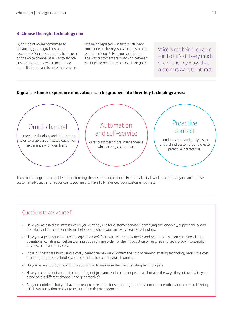#### **3. Choose the right technology mix**

By this point you're committed to enhancing your digital customer experience. You may currently be focused on the voice channel as a way to service customers, but know you need to do more. It's important to note that voice is

not being replaced – in fact it's still very much one of the key ways that customers want to interact<sup>3</sup>. But you can't ignore the way customers are switching between channels to help them achieve their goals.

Voice is not being replaced – in fact it's still very much one of the key ways that customers want to interact.

#### **Digital customer experience innovations can be grouped into three key technology areas:**



These technologies are capable of transforming the customer experience. But to make it all work, and so that you can improve customer advocacy and reduce costs, you need to have fully reviewed your customer journeys.

- Have you assessed the infrastructure you currently use for customer service? Identifying the longevity, supportability and desirability of the components will help locate where you can re-use legacy technology.
- Have you agreed your own technology roadmap? Start with your requirements and priorities based on commercial and operational constraints, before working out a running order for the introduction of features and technology into specific business units and personas.
- Is the business case built using a cost / benefit framework? Confirm the cost of running existing technology versus the cost of introducing new technology, and consider the cost of parallel running.
- Do you have a thorough communications plan to maximise the use of existing technologies?
- Have you carried out an audit, considering not just your end-customer personas, but also the ways they interact with your brand across different channels and geographies?
- Are you confident that you have the resources required for supporting the transformation identified and scheduled? Set up a full transformation project team, including risk management.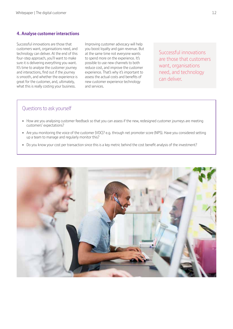#### **4. Analyse customer interactions**

Successful innovations are those that customers want, organisations need, and technology can deliver. At the end of this four-step approach, you'll want to make sure it is delivering everything you want. It's time to analyse the customer journey and interactions, find out if the journey is smooth, and whether the experience is great for the customer, and, ultimately, what this is really costing your business.

Improving customer advocacy will help you boost loyalty and gain revenue. But at the same time not everyone wants to spend more on the experience. It's possible to use new channels to both reduce cost, and improve the customer experience. That's why it's important to assess the actual costs and benefits of new customer experience technology and services.

Successful innovations are those that customers want, organisations need, and technology can deliver.

- How are you analysing customer feedback so that you can assess if the new, redesigned customer journeys are meeting customers' expectations?
- Are you monitoring the voice of the customer (VOC)? e.g. through net promoter score (NPS). Have you considered setting up a team to manage and regularly monitor this?
- Do you know your cost per transaction since this is a key metric behind the cost benefit analysis of the investment?

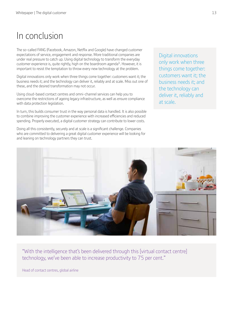### In conclusion

The so-called FANG (Facebook, Amazon, Netflix and Google) have changed customer expectations of service, engagement and response. More traditional companies are under real pressure to catch up. Using digital technology to transform the everyday customer experience is, quite rightly, high on the boardroom agenda<sup>1</sup>. However, it is important to resist the temptation to throw every new technology at the problem.

Digital innovations only work when three things come together: customers want it; the business needs it; and the technology can deliver it, reliably and at scale. Miss out one of these, and the desired transformation may not occur.

Using cloud-based contact centres and omni-channel services can help you to overcome the restrictions of ageing legacy infrastructure, as well as ensure compliance with data protection legislation.

In turn, this builds consumer trust in the way personal data is handled. It is also possible to combine improving the customer experience with increased efficiencies and reduced spending. Properly executed, a digital customer strategy can contribute to lower costs.

Doing all this consistently, securely and at scale is a significant challenge. Companies who are committed to delivering a great digital customer experience will be looking for and leaning on technology partners they can trust.

Digital innovations only work when three things come together: customers want it; the business needs it; and the technology can deliver it, reliably and at scale.



"With the intelligence that's been delivered through this [virtual contact centre] technology, we've been able to increase productivity to 75 per cent."

Head of contact centres, global airline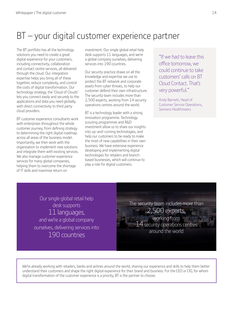## BT – your digital customer experience partner

The BT portfolio has all the technology solutions you need to create a great digital experience for your customers, including connectivity, collaboration and contact centre services, all delivered through the cloud. Our integration expertise helps you bring all of these together, reduce complexity, and control the costs of digital transformation. Our technology strategy, the 'Cloud of Clouds' lets you connect easily and securely to the applications and data you need globally, with direct connectivity to third party cloud providers.

BT customer experience consultants work with enterprises throughout the whole customer journey, from defining strategy to determining the right digital roadmap across all areas of the business model. Importantly, we then work with the organisation to implement new solutions and integrate them with existing services. We also manage customer experience services for many global companies, helping them to overcome the shortage of IT skills and maximise return on

investment. Our single global retail help desk supports 11 languages, and we're a global company ourselves, delivering services into 190 countries.

Our security practice draws on all the knowledge and expertise we use to protect the BT network and corporate assets from cyber threats, to help our customer defend their own infrastructure. The security team includes more than 2,500 experts, working from 14 security operations centres around the world.

BT is a technology leader with a strong innovation programme. Technology scouting programmes and R&D investment allow us to share our insights into up-and-coming technologies, and help our customers to be ready to make the most of new capabilities in their own business. We have extensive experience developing and implementing digital technologies for retailers and branchbased businesses, which will continue to play a role for digital customers.

"If we had to leave this office tomorrow, we could continue to take customers' calls on BT Cloud Contact. That's very powerful."

Andy Barnett, Head of Customer Service Operations, Siemens Healthineers

Our single global retail help desk supports 11 languages, and we're a global company ourselves, delivering services into 190 countries

The security team includes more than 2,500 experts, working from  $14$  security operations centres around the world

We're already working with retailers, banks and airlines around the world, sharing our experience and skills to help them better understand their customers and shape the right digital experience for their brand and business. For the CEO or CIO, for whom digital transformation of the customer experience is a priority, BT is the partner to choose.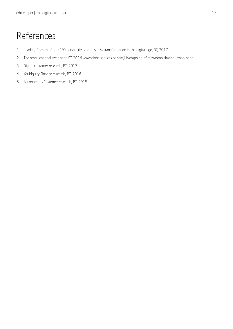## References

- 1. Leading from the front: CEO perspectives on business transformation in the digital age, BT, 2017
- 2. The omni-channel swap shop BT 2016 www.globalservices.bt.com/uk/en/point-of-view/omnichannel-swap-shop
- 3. Digital customer research, BT, 2017
- 4. Youbiquity Finance research, BT, 2016
- 5. Autonomous Customer research, BT, 2015